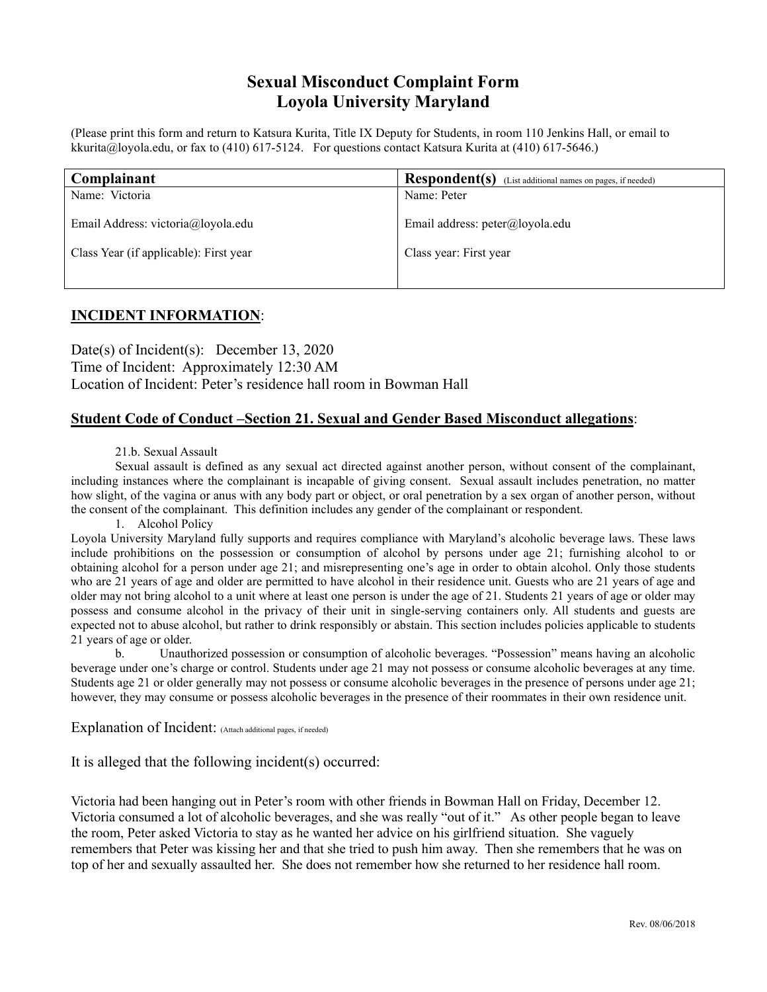## **Sexual Misconduct Complaint Form Loyola University Maryland**

(Please print this form and return to Katsura Kurita, Title IX Deputy for Students, in room 110 Jenkins Hall, or email to kkurita@loyola.edu, or fax to  $(410)$  617-5124. For questions contact Katsura Kurita at  $(410)$  617-5646.)

| Complainant                            | Respondent(s)<br>(List additional names on pages, if needed) |
|----------------------------------------|--------------------------------------------------------------|
| Name: Victoria                         | Name: Peter                                                  |
| Email Address: victoria@loyola.edu     | Email address: peter@loyola.edu                              |
| Class Year (if applicable): First year | Class year: First year                                       |
|                                        |                                                              |

## **INCIDENT INFORMATION**:

Date(s) of Incident(s): December 13, 2020 Time of Incident: Approximately 12:30 AM Location of Incident: Peter's residence hall room in Bowman Hall

## **Student Code of Conduct –Section 21. Sexual and Gender Based Misconduct allegations**:

## 21.b. Sexual Assault

Sexual assault is defined as any sexual act directed against another person, without consent of the complainant, including instances where the complainant is incapable of giving consent. Sexual assault includes penetration, no matter how slight, of the vagina or anus with any body part or object, or oral penetration by a sex organ of another person, without the consent of the complainant. This definition includes any gender of the complainant or respondent.

1. Alcohol Policy

Loyola University Maryland fully supports and requires compliance with Maryland's alcoholic beverage laws. These laws include prohibitions on the possession or consumption of alcohol by persons under age 21; furnishing alcohol to or obtaining alcohol for a person under age 21; and misrepresenting one's age in order to obtain alcohol. Only those students who are 21 years of age and older are permitted to have alcohol in their residence unit. Guests who are 21 years of age and older may not bring alcohol to a unit where at least one person is under the age of 21. Students 21 years of age or older may possess and consume alcohol in the privacy of their unit in single-serving containers only. All students and guests are expected not to abuse alcohol, but rather to drink responsibly or abstain. This section includes policies applicable to students 21 years of age or older.<br>b. Unauth

b. Unauthorized possession or consumption of alcoholic beverages. "Possession" means having an alcoholic beverage under one's charge or control. Students under age 21 may not possess or consume alcoholic beverages at any time. Students age 21 or older generally may not possess or consume alcoholic beverages in the presence of persons under age 21; however, they may consume or possess alcoholic beverages in the presence of their roommates in their own residence unit.

Explanation of Incident: (Attach additional pages, if needed)

It is alleged that the following incident(s) occurred:

Victoria had been hanging out in Peter's room with other friends in Bowman Hall on Friday, December 12. Victoria consumed a lot of alcoholic beverages, and she was really "out of it." As other people began to leave the room, Peter asked Victoria to stay as he wanted her advice on his girlfriend situation. She vaguely remembers that Peter was kissing her and that she tried to push him away. Then she remembers that he was on top of her and sexually assaulted her. She does not remember how she returned to her residence hall room.